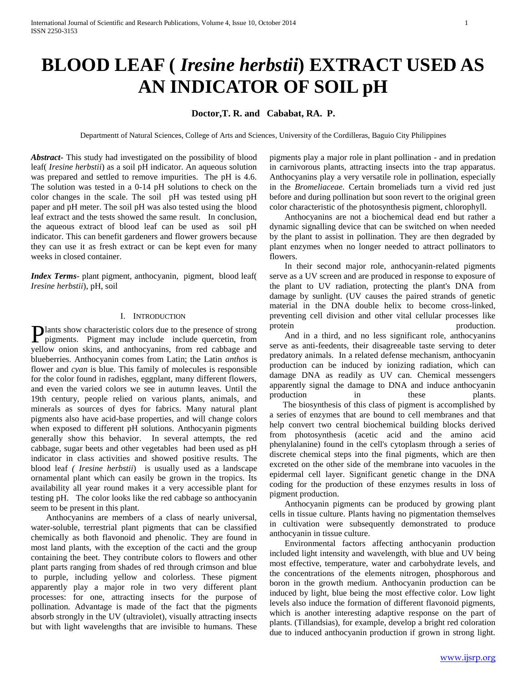# **BLOOD LEAF (** *Iresine herbstii***) EXTRACT USED AS AN INDICATOR OF SOIL pH**

## **Doctor,T. R. and Cababat, RA. P.**

Departmentt of Natural Sciences, College of Arts and Sciences, University of the Cordilleras, Baguio City Philippines

*Abstract***-** This study had investigated on the possibility of blood leaf( *Iresine herbstii*) as a soil pH indicator. An aqueous solution was prepared and settled to remove impurities. The pH is 4.6. The solution was tested in a 0-14 pH solutions to check on the color changes in the scale. The soil pH was tested using pH paper and pH meter. The soil pH was also tested using the blood leaf extract and the tests showed the same result. In conclusion, the aqueous extract of blood leaf can be used as soil pH indicator. This can benefit gardeners and flower growers because they can use it as fresh extract or can be kept even for many weeks in closed container.

*Index Terms*- plant pigment, anthocyanin, pigment, blood leaf( *Iresine herbstii*), pH, soil

#### I. INTRODUCTION

lants show characteristic colors due to the presence of strong **P**lants show characteristic colors due to the presence of strong pigments. Pigment may include include quercetin, from yellow onion skins, and anthocyanins, from red cabbage and blueberries. Anthocyanin comes from Latin; the Latin *anthos* is flower and *cyan* is blue. This family of molecules is responsible for the color found in radishes, eggplant, many different flowers, and even the varied colors we see in autumn leaves. Until the 19th century, people relied on various plants, animals, and minerals as sources of dyes for fabrics. Many natural plant pigments also have acid-base properties, and will change colors when exposed to different pH solutions. Anthocyanin pigments generally show this behavior. In several attempts, the red cabbage, sugar beets and other vegetables had been used as pH indicator in class activities and showed positive results. The blood leaf *( Iresine herbstii*) is usually used as a landscape ornamental plant which can easily be grown in the tropics. Its availability all year round makes it a very accessible plant for testing pH. The color looks like the red cabbage so anthocyanin seem to be present in this plant.

 Anthocyanins are members of a class of nearly universal, water-soluble, terrestrial plant pigments that can be classified chemically as both flavonoid and phenolic. They are found in most land plants, with the exception of the cacti and the group containing the beet. They contribute colors to flowers and other plant parts ranging from shades of red through crimson and blue to purple, including yellow and colorless. These pigment apparently play a major role in two very different plant processes: for one, attracting insects for the purpose of pollination. Advantage is made of the fact that the pigments absorb strongly in the UV (ultraviolet), visually attracting insects but with light wavelengths that are invisible to humans. These pigments play a major role in plant pollination - and in predation in carnivorous plants, attracting insects into the trap apparatus. Anthocyanins play a very versatile role in pollination, especially in the *Bromeliaceae.* Certain bromeliads turn a vivid red just before and during pollination but soon revert to the original green color characteristic of the photosynthesis pigment, chlorophyll.

 Anthocyanins are not a biochemical dead end but rather a dynamic signalling device that can be switched on when needed by the plant to assist in pollination. They are then degraded by plant enzymes when no longer needed to attract pollinators to flowers.

 In their second major role, anthocyanin-related pigments serve as a UV screen and are produced in response to exposure of the plant to UV radiation, protecting the plant's DNA from damage by sunlight. (UV causes the paired strands of genetic material in the DNA double helix to become cross-linked, preventing cell division and other vital cellular processes like protein production.

 And in a third, and no less significant role, anthocyanins serve as anti-feedents, their disagreeable taste serving to deter predatory animals. In a related defense mechanism, anthocyanin production can be induced by ionizing radiation, which can damage DNA as readily as UV can. Chemical messengers apparently signal the damage to DNA and induce anthocyanin production in these plants.

 The biosynthesis of this class of pigment is accomplished by a series of enzymes that are bound to cell membranes and that help convert two central biochemical building blocks derived from photosynthesis (acetic acid and the amino acid phenylalanine) found in the cell's cytoplasm through a series of discrete chemical steps into the final pigments, which are then excreted on the other side of the membrane into vacuoles in the epidermal cell layer. Significant genetic change in the DNA coding for the production of these enzymes results in loss of pigment production.

 Anthocyanin pigments can be produced by growing plant cells in tissue culture. Plants having no pigmentation themselves in cultivation were subsequently demonstrated to produce anthocyanin in tissue culture.

 Environmental factors affecting anthocyanin production included light intensity and wavelength, with blue and UV being most effective, temperature, water and carbohydrate levels, and the concentrations of the elements nitrogen, phosphorous and boron in the growth medium. Anthocyanin production can be induced by light, blue being the most effective color. Low light levels also induce the formation of different flavonoid pigments, which is another interesting adaptive response on the part of plants. (Tillandsias), for example, develop a bright red coloration due to induced anthocyanin production if grown in strong light.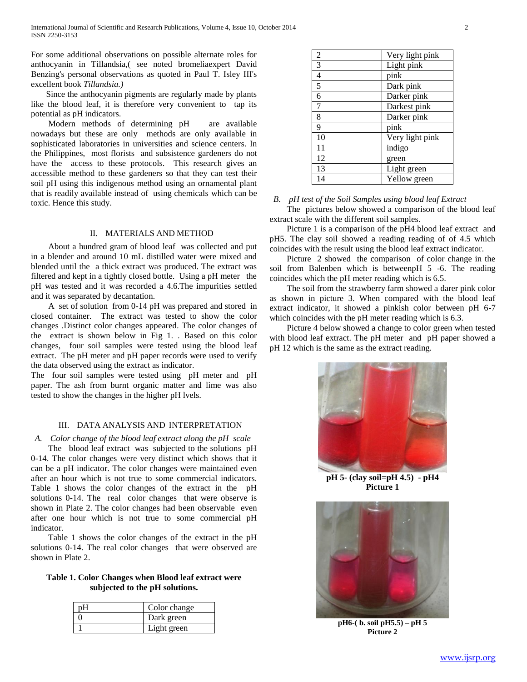For some additional observations on possible alternate roles for anthocyanin in Tillandsia,( see noted bromeliaexpert David Benzing's personal observations as quoted in Paul T. Isley III's excellent book *Tillandsia.)* 

 Since the anthocyanin pigments are regularly made by plants like the blood leaf, it is therefore very convenient to tap its potential as pH indicators.

 Modern methods of determining pH are available nowadays but these are only methods are only available in sophisticated laboratories in universities and science centers. In the Philippines, most florists and subsistence gardeners do not have the access to these protocols. This research gives an accessible method to these gardeners so that they can test their soil pH using this indigenous method using an ornamental plant that is readily available instead of using chemicals which can be toxic. Hence this study.

#### II. MATERIALS AND METHOD

About a hundred gram of blood leaf was collected and put in a blender and around 10 mL distilled water were mixed and blended until the a thick extract was produced. The extract was filtered and kept in a tightly closed bottle. Using a pH meter the pH was tested and it was recorded a 4.6.The impurities settled and it was separated by decantation.

A set of solution from 0-14 pH was prepared and stored in closed container. The extract was tested to show the color changes .Distinct color changes appeared. The color changes of the extract is shown below in Fig 1. . Based on this color changes, four soil samples were tested using the blood leaf extract. The pH meter and pH paper records were used to verify the data observed using the extract as indicator.

The four soil samples were tested using pH meter and pH paper. The ash from burnt organic matter and lime was also tested to show the changes in the higher pH lvels.

## III. DATA ANALYSIS AND INTERPRETATION

#### *A. Color change of the blood leaf extract along the pH scale*

 The blood leaf extract was subjected to the solutions pH 0-14. The color changes were very distinct which shows that it can be a pH indicator. The color changes were maintained even after an hour which is not true to some commercial indicators. Table 1 shows the color changes of the extract in the pH solutions 0-14. The real color changes that were observe is shown in Plate 2. The color changes had been observable even after one hour which is not true to some commercial pH indicator.

 Table 1 shows the color changes of the extract in the pH solutions 0-14. The real color changes that were observed are shown in Plate 2.

## **Table 1. Color Changes when Blood leaf extract were subjected to the pH solutions.**

| Color change |
|--------------|
| Dark green   |
| Light green  |

| $\overline{2}$ | Very light pink |
|----------------|-----------------|
| 3              | Light pink      |
| 4              | pink            |
| 5              | Dark pink       |
| 6              | Darker pink     |
| 7              | Darkest pink    |
| 8              | Darker pink     |
| 9              | pink            |
| 10             | Very light pink |
| 11             | indigo          |
| 12             | green           |
| 13             | Light green     |
| 14             | Yellow green    |

### *B. pH test of the Soil Samples using blood leaf Extract* The pictures below showed a comparison of the blood leaf extract scale with the different soil samples.

 Picture 1 is a comparison of the pH4 blood leaf extract and pH5. The clay soil showed a reading reading of of 4.5 which coincides with the result using the blood leaf extract indicator.

 Picture 2 showed the comparison of color change in the soil from Balenben which is betweenpH 5 -6. The reading coincides which the pH meter reading which is 6.5.

 The soil from the strawberry farm showed a darer pink color as shown in picture 3. When compared with the blood leaf extract indicator, it showed a pinkish color between pH 6-7 which coincides with the pH meter reading which is 6.3.

 Picture 4 below showed a change to color green when tested with blood leaf extract. The pH meter and pH paper showed a pH 12 which is the same as the extract reading.



**pH 5- (clay soil=pH 4.5) - pH4 Picture 1**



**pH6-( b. soil pH5.5) – pH 5 Picture 2**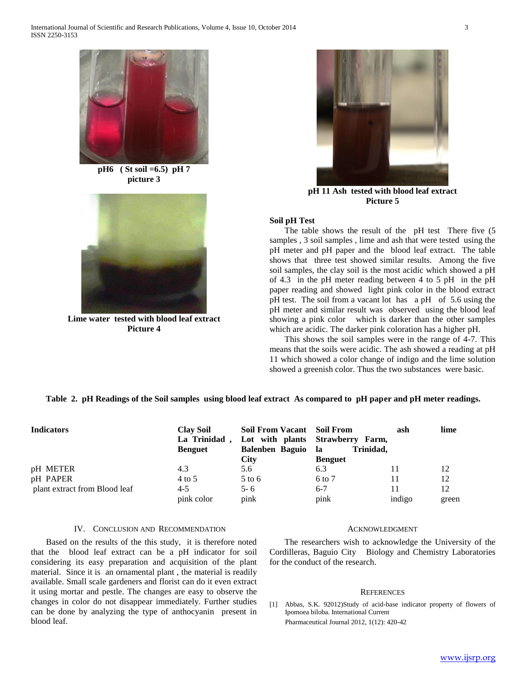

**pH6 ( St soil =6.5) pH 7 picture 3**



**Lime water tested with blood leaf extract Picture 4**



**pH 11 Ash tested with blood leaf extract Picture 5**

#### **Soil pH Test**

The table shows the result of the pH test There five (5) samples , 3 soil samples , lime and ash that were tested using the pH meter and pH paper and the blood leaf extract. The table shows that three test showed similar results. Among the five soil samples, the clay soil is the most acidic which showed a pH of 4.3 in the pH meter reading between 4 to 5 pH in the pH paper reading and showed light pink color in the blood extract pH test. The soil from a vacant lot has a pH of 5.6 using the pH meter and similar result was observed using the blood leaf showing a pink color which is darker than the other samples which are acidic. The darker pink coloration has a higher pH.

 This shows the soil samples were in the range of 4-7. This means that the soils were acidic. The ash showed a reading at pH 11 which showed a color change of indigo and the lime solution showed a greenish color. Thus the two substances were basic.

### **Table 2. pH Readings of the Soil samples using blood leaf extract As compared to pH paper and pH meter readings.**

| <b>Indicators</b>             | <b>Clay Soil</b><br>La Trinidad,<br><b>Benguet</b> | Soil From Vacant Soil From<br><b>Balenben Baguio</b><br><b>City</b> | Lot with plants Strawberry Farm,<br>Trinidad.<br>- la<br><b>Benguet</b> | ash    | lime  |
|-------------------------------|----------------------------------------------------|---------------------------------------------------------------------|-------------------------------------------------------------------------|--------|-------|
| pH METER                      | 4.3                                                | 5.6                                                                 | 6.3                                                                     |        | 12    |
| pH PAPER                      | 4 to 5                                             | $5$ to 6                                                            | 6 to 7                                                                  | 11     | 12    |
| plant extract from Blood leaf | $4 - 5$                                            | $5 - 6$                                                             | $6 - 7$                                                                 |        | 12    |
|                               | pink color                                         | pink                                                                | pink                                                                    | indigo | green |

#### IV. CONCLUSION AND RECOMMENDATION

 Based on the results of the this study, it is therefore noted that the blood leaf extract can be a pH indicator for soil considering its easy preparation and acquisition of the plant material. Since it is an ornamental plant , the material is readily available. Small scale gardeners and florist can do it even extract it using mortar and pestle. The changes are easy to observe the changes in color do not disappear immediately. Further studies can be done by analyzing the type of anthocyanin present in blood leaf.

#### ACKNOWLEDGMENT

 The researchers wish to acknowledge the University of the Cordilleras, Baguio City Biology and Chemistry Laboratories for the conduct of the research.

#### **REFERENCES**

[1] Abbas, S.K. 92012)Study of acid-base indicator property of flowers of Ipomoea biloba. International Current Pharmaceutical Journal 2012, 1(12): 420-42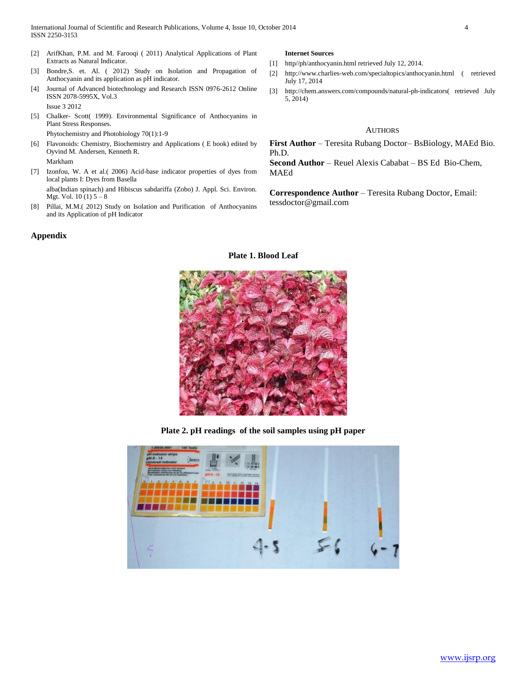International Journal of Scientific and Research Publications, Volume 4, Issue 10, October 2014 4 ISSN 2250-3153

- [2] ArifKhan, P.M. and M. Farooqi ( 2011) Analytical Applications of Plant Extracts as Natural Indicator.
- [3] Bondre,S. et. Al. ( 2012) Study on Isolation and Propagation of Anthocyanin and its application as pH indicator.
- [4] Journal of Advanced biotechnology and Research ISSN 0976-2612 Online ISSN 2078-5995X, Vol.3 Issue 3 2012
- [5] Chalker- Scott( 1999). Environmental Significance of Anthocyanins in Plant Stress Responses. Phytochemistry and Photobiology 70(1):1-9
- [6] Flavonoids: Chemistry, Biochemistry and Applications ( E book) edited by Oyvind M. Andersen, Kenneth R. Markham
- [7] Izonfou, W. A et al.( 2006) Acid-base indicator properties of dyes from local plants I: Dyes from Basella

alba(Indian spinach) and Hibiscus sabdariffa (Zobo) J. Appl. Sci. Environ. Mgt. Vol.  $10(1)$   $5 - 8$ 

[8] Pillai, M.M.( 2012) Study on Isolation and Purification of Anthocyanins and its Application of pH Indicator

#### **Appendix**

#### **Internet Sources**

- [1] http//ph/anthocyanin.html retrieved July 12, 2014.
- [2] http://www.charlies-web.com/specialtopics/anthocyanin.html ( retrieved July 17, 2014
- [3] http://chem.answers.com/compounds/natural-ph-indicators( retrieved July 5, 2014)

## AUTHORS

**First Author** – Teresita Rubang Doctor– BsBiology, MAEd Bio. Ph.D.

**Second Author** – Reuel Alexis Cababat – BS Ed Bio-Chem, MAEd

**Correspondence Author** – Teresita Rubang Doctor, Email: tessdoctor@gmail.com



**Plate 1. Blood Leaf**

**Plate 2. pH readings of the soil samples using pH paper**